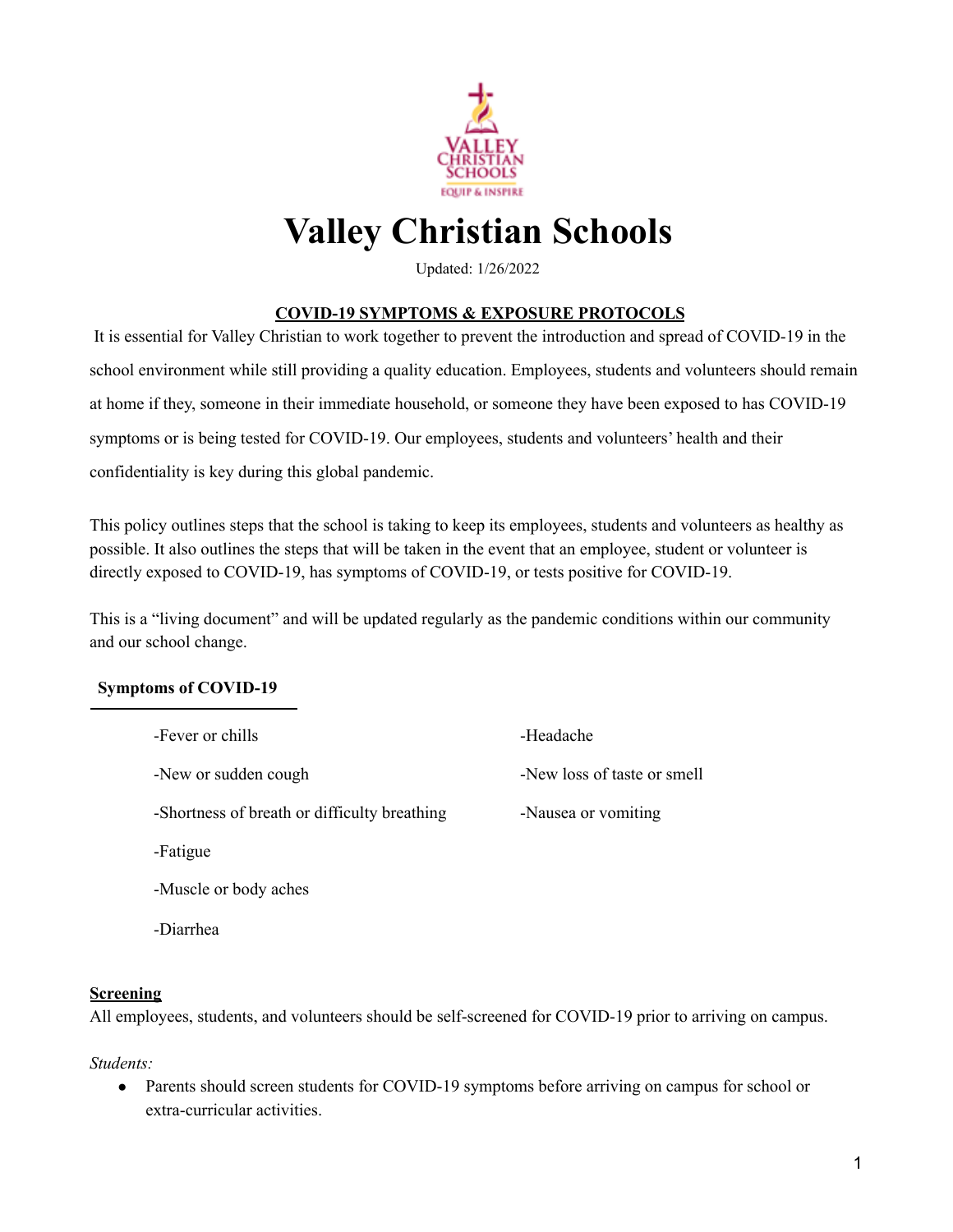

# **Valley Christian Schools**

Updated: 1/26/2022

# **COVID-19 SYMPTOMS & EXPOSURE PROTOCOLS**

It is essential for Valley Christian to work together to prevent the introduction and spread of COVID-19 in the school environment while still providing a quality education. Employees, students and volunteers should remain at home if they, someone in their immediate household, or someone they have been exposed to has COVID-19 symptoms or is being tested for COVID-19. Our employees, students and volunteers' health and their confidentiality is key during this global pandemic.

This policy outlines steps that the school is taking to keep its employees, students and volunteers as healthy as possible. It also outlines the steps that will be taken in the event that an employee, student or volunteer is directly exposed to COVID-19, has symptoms of COVID-19, or tests positive for COVID-19.

This is a "living document" and will be updated regularly as the pandemic conditions within our community and our school change.

# **Symptoms of COVID-19**

| -Fever or chills                             | -Headache                   |
|----------------------------------------------|-----------------------------|
| -New or sudden cough                         | -New loss of taste or smell |
| -Shortness of breath or difficulty breathing | -Nausea or vomiting         |
| -Fatigue                                     |                             |
| -Muscle or body aches                        |                             |

-Diarrhea

#### **Screening**

All employees, students, and volunteers should be self-screened for COVID-19 prior to arriving on campus.

*Students:*

• Parents should screen students for COVID-19 symptoms before arriving on campus for school or extra-curricular activities.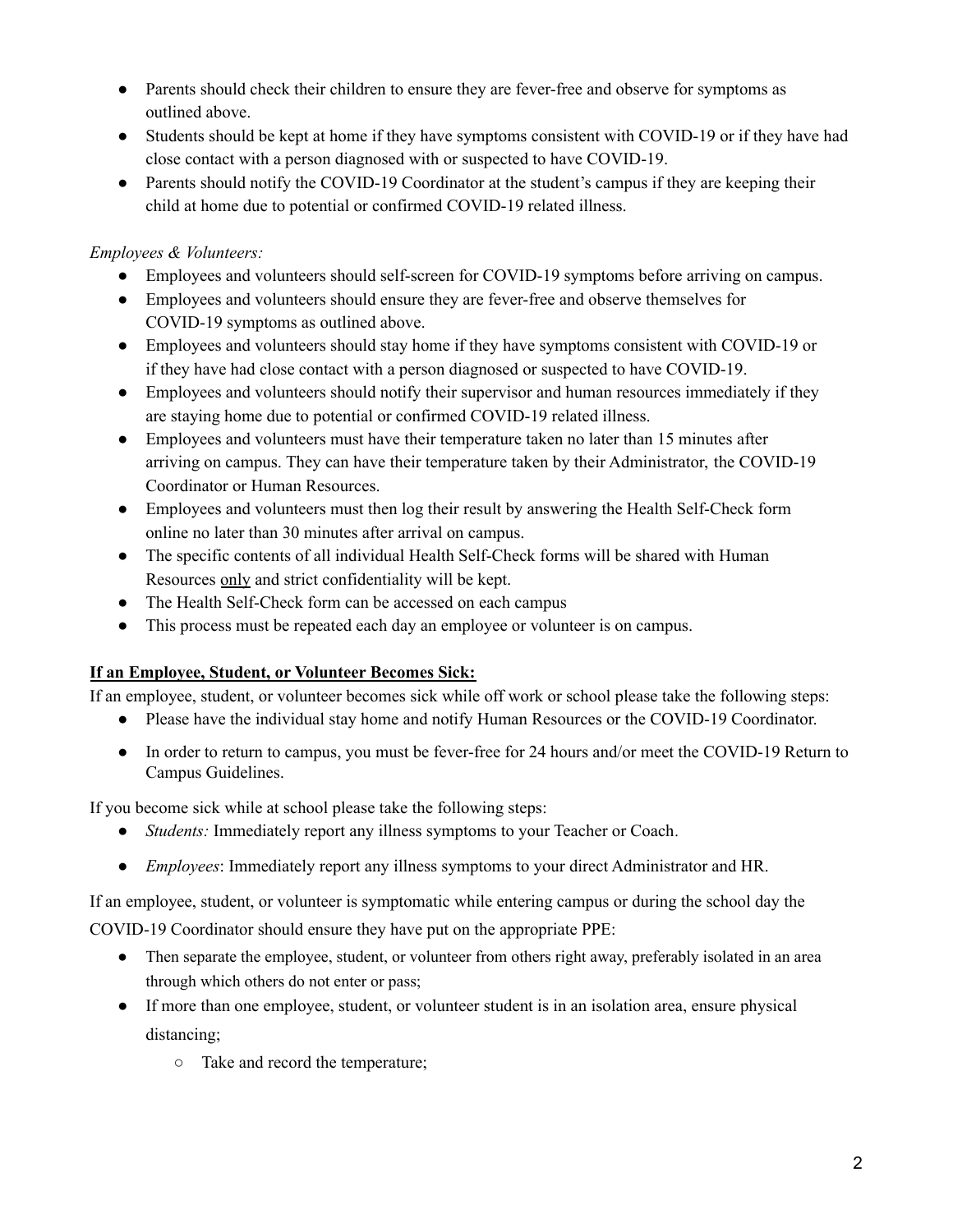- Parents should check their children to ensure they are fever-free and observe for symptoms as outlined above.
- Students should be kept at home if they have symptoms consistent with COVID-19 or if they have had close contact with a person diagnosed with or suspected to have COVID-19.
- Parents should notify the COVID-19 Coordinator at the student's campus if they are keeping their child at home due to potential or confirmed COVID-19 related illness.

# *Employees & Volunteers:*

- Employees and volunteers should self-screen for COVID-19 symptoms before arriving on campus.
- Employees and volunteers should ensure they are fever-free and observe themselves for COVID-19 symptoms as outlined above.
- Employees and volunteers should stay home if they have symptoms consistent with COVID-19 or if they have had close contact with a person diagnosed or suspected to have COVID-19.
- Employees and volunteers should notify their supervisor and human resources immediately if they are staying home due to potential or confirmed COVID-19 related illness.
- Employees and volunteers must have their temperature taken no later than 15 minutes after arriving on campus. They can have their temperature taken by their Administrator, the COVID-19 Coordinator or Human Resources.
- Employees and volunteers must then log their result by answering the Health Self-Check form online no later than 30 minutes after arrival on campus.
- The specific contents of all individual Health Self-Check forms will be shared with Human Resources only and strict confidentiality will be kept.
- The Health Self-Check form can be accessed on each campus
- This process must be repeated each day an employee or volunteer is on campus.

# **If an Employee, Student, or Volunteer Becomes Sick:**

If an employee, student, or volunteer becomes sick while off work or school please take the following steps:

- Please have the individual stay home and notify Human Resources or the COVID-19 Coordinator.
- In order to return to campus, you must be fever-free for 24 hours and/or meet the COVID-19 Return to Campus Guidelines.

If you become sick while at school please take the following steps:

- *Students:* Immediately report any illness symptoms to your Teacher or Coach.
- *Employees*: Immediately report any illness symptoms to your direct Administrator and HR.

If an employee, student, or volunteer is symptomatic while entering campus or during the school day the COVID-19 Coordinator should ensure they have put on the appropriate PPE:

- Then separate the employee, student, or volunteer from others right away, preferably isolated in an area through which others do not enter or pass;
- If more than one employee, student, or volunteer student is in an isolation area, ensure physical distancing;
	- Take and record the temperature;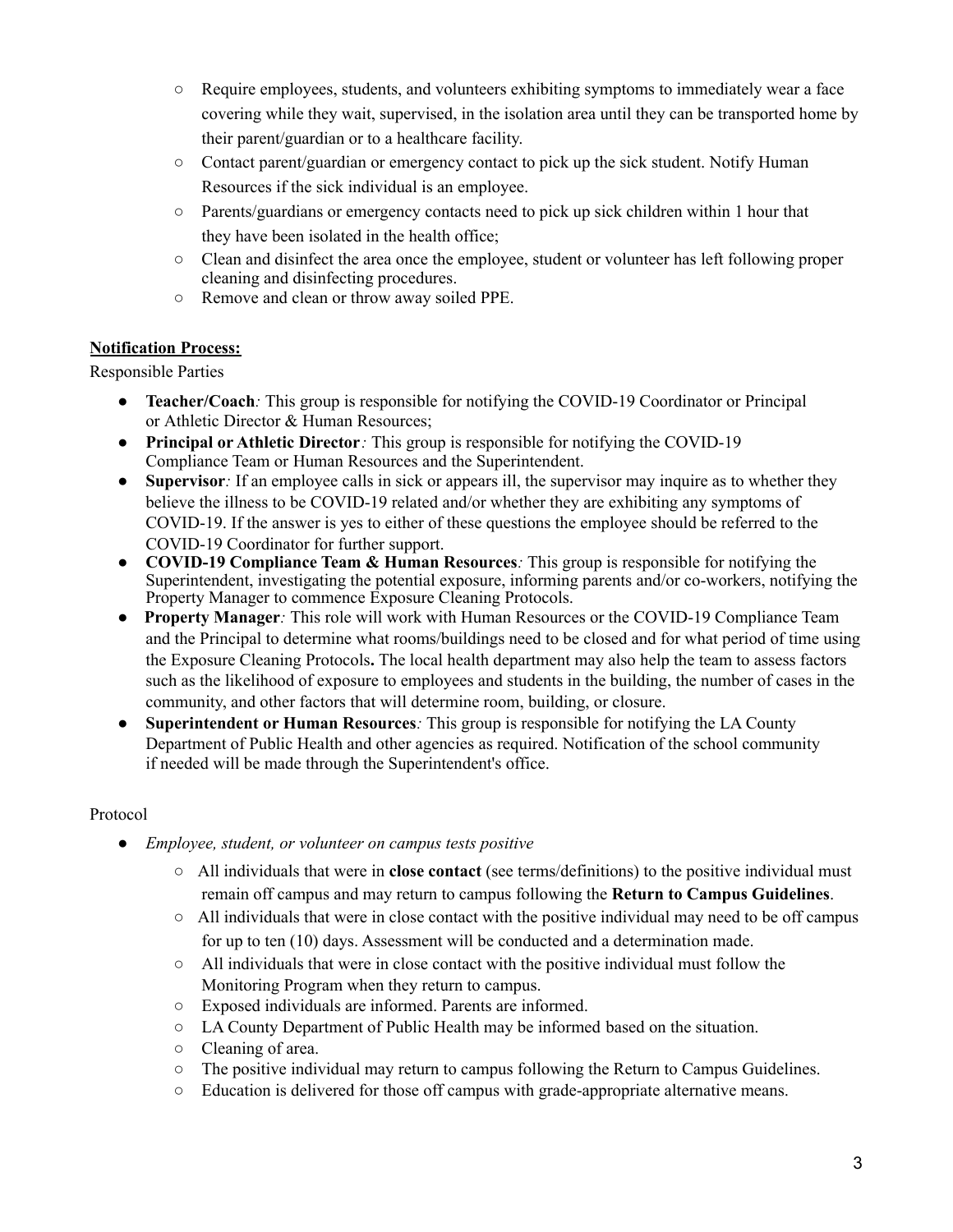- Require employees, students, and volunteers exhibiting symptoms to immediately wear a face covering while they wait, supervised, in the isolation area until they can be transported home by their parent/guardian or to a healthcare facility.
- Contact parent/guardian or emergency contact to pick up the sick student. Notify Human Resources if the sick individual is an employee.
- $\circ$  Parents/guardians or emergency contacts need to pick up sick children within 1 hour that they have been isolated in the health office;
- Clean and disinfect the area once the employee, student or volunteer has left following proper cleaning and disinfecting procedures.
- Remove and clean or throw away soiled PPE.

# **Notification Process:**

Responsible Parties

- **Teacher/Coach**: This group is responsible for notifying the COVID-19 Coordinator or Principal or Athletic Director & Human Resources;
- **Principal or Athletic Director***:* This group is responsible for notifying the COVID-19 Compliance Team or Human Resources and the Superintendent.
- Supervisor: If an employee calls in sick or appears ill, the supervisor may inquire as to whether they believe the illness to be COVID-19 related and/or whether they are exhibiting any symptoms of COVID-19. If the answer is yes to either of these questions the employee should be referred to the COVID-19 Coordinator for further support.
- **COVID-19 Compliance Team & Human Resources***:* This group is responsible for notifying the Superintendent, investigating the potential exposure, informing parents and/or co-workers, notifying the Property Manager to commence Exposure Cleaning Protocols.
- **Property Manager***:* This role will work with Human Resources or the COVID-19 Compliance Team and the Principal to determine what rooms/buildings need to be closed and for what period of time using the Exposure Cleaning Protocols**.** The local health department may also help the team to assess factors such as the likelihood of exposure to employees and students in the building, the number of cases in the community, and other factors that will determine room, building, or closure.
- **Superintendent or Human Resources***:* This group is responsible for notifying the LA County Department of Public Health and other agencies as required. Notification of the school community if needed will be made through the Superintendent's office.

# Protocol

- *Employee, student, or volunteer on campus tests positive*
	- All individuals that were in **close contact** (see terms/definitions) to the positive individual must remain off campus and may return to campus following the **Return to Campus Guidelines**.
	- $\circ$  All individuals that were in close contact with the positive individual may need to be off campus for up to ten (10) days. Assessment will be conducted and a determination made.
	- $\circ$  $\circ$  $\circ$  All individuals that were in close contact with the positive individual must follow the Monitoring Program when they return to campus.
	- Exposed individuals are informed. Parents are informed.
	- LA County Department of Public Health may be informed based on the situation.
	- Cleaning of area.
	- The positive individual may return to campus following the Return to Campus Guidelines.
	- Education is delivered for those off campus with grade-appropriate alternative means.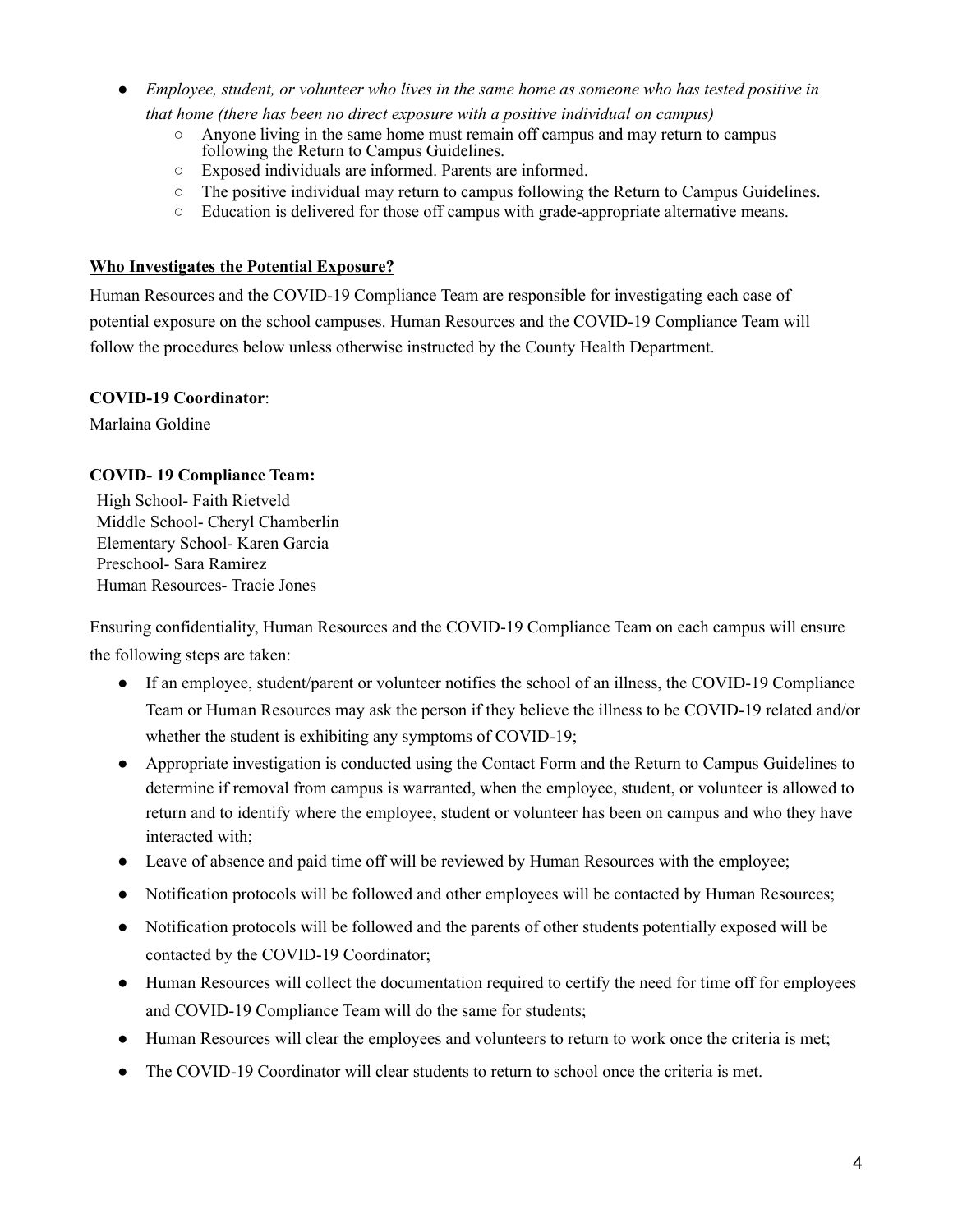- *Employee, student, or volunteer who lives in the same home as someone who has tested positive in that home (there has been no direct exposure with a positive individual on campus)*
	- Anyone living in the same home must remain off campus and may return to campus following the Return to Campus Guidelines.
	- Exposed individuals are informed. Parents are informed.
	- The positive individual may return to campus following the Return to Campus Guidelines.
	- Education is delivered for those off campus with grade-appropriate alternative means.

#### **Who Investigates the Potential Exposure?**

Human Resources and the COVID-19 Compliance Team are responsible for investigating each case of potential exposure on the school campuses. Human Resources and the COVID-19 Compliance Team will follow the procedures below unless otherwise instructed by the County Health Department.

#### **COVID-19 Coordinator**:

Marlaina Goldine

#### **COVID- 19 Compliance Team:**

High School- Faith Rietveld Middle School- Cheryl Chamberlin Elementary School- Karen Garcia Preschool- Sara Ramirez Human Resources- Tracie Jones

Ensuring confidentiality, Human Resources and the COVID-19 Compliance Team on each campus will ensure the following steps are taken:

- If an employee, student/parent or volunteer notifies the school of an illness, the COVID-19 Compliance Team or Human Resources may ask the person if they believe the illness to be COVID-19 related and/or whether the student is exhibiting any symptoms of COVID-19;
- Appropriate investigation is conducted using the Contact Form and the Return to Campus Guidelines to determine if removal from campus is warranted, when the employee, student, or volunteer is allowed to return and to identify where the employee, student or volunteer has been on campus and who they have interacted with;
- Leave of absence and paid time off will be reviewed by Human Resources with the employee;
- Notification protocols will be followed and other employees will be contacted by Human Resources;
- Notification protocols will be followed and the parents of other students potentially exposed will be contacted by the COVID-19 Coordinator;
- Human Resources will collect the documentation required to certify the need for time off for employees and COVID-19 Compliance Team will do the same for students;
- Human Resources will clear the employees and volunteers to return to work once the criteria is met;
- The COVID-19 Coordinator will clear students to return to school once the criteria is met.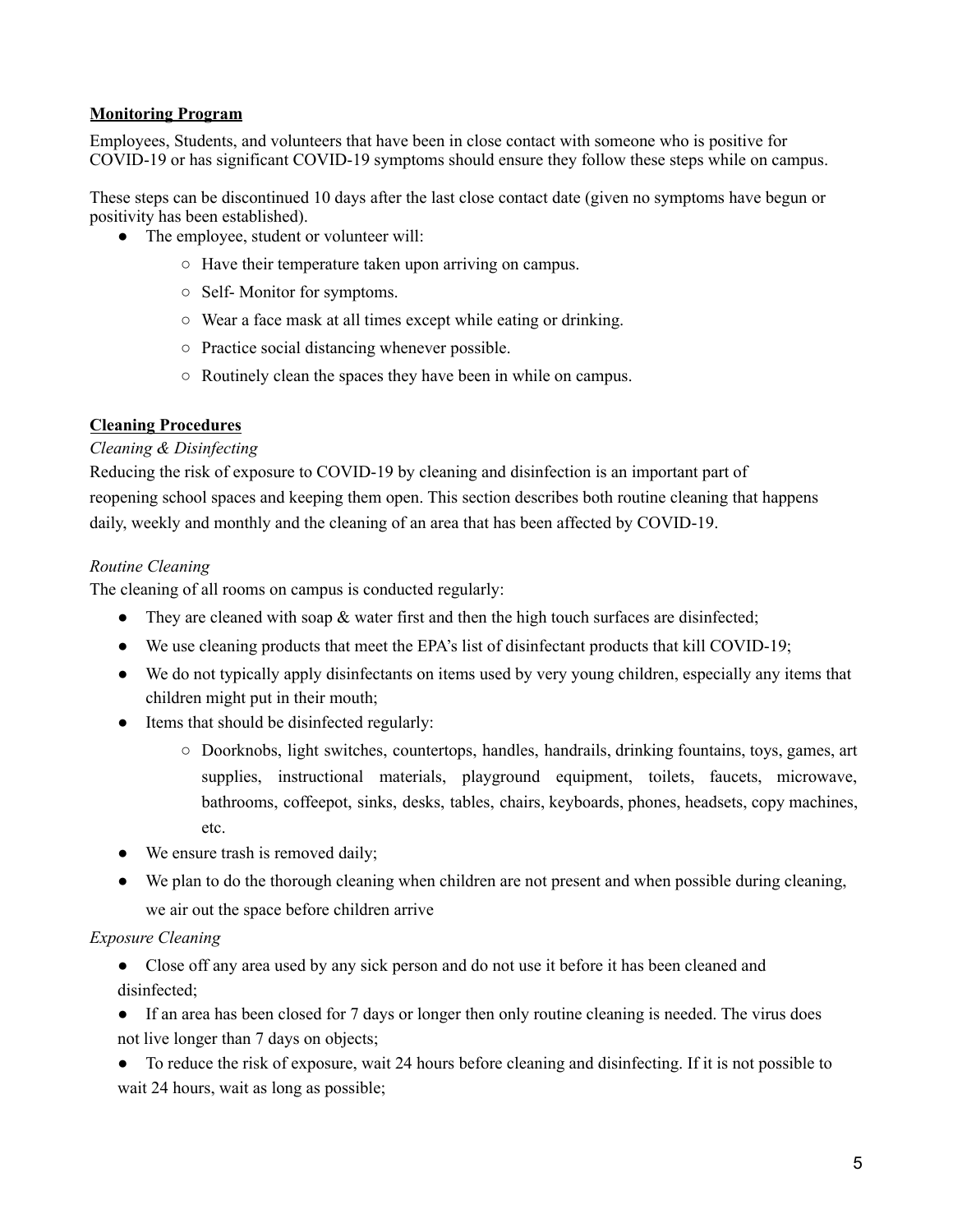#### **Monitoring Program**

Employees, Students, and volunteers that have been in close contact with someone who is positive for COVID-19 or has significant COVID-19 symptoms should ensure they follow these steps while on campus.

These steps can be discontinued 10 days after the last close contact date (given no symptoms have begun or positivity has been established).

- The employee, student or volunteer will:
	- Have their temperature taken upon arriving on campus.
	- Self- Monitor for symptoms.
	- Wear a face mask at all times except while eating or drinking.
	- Practice social distancing whenever possible.
	- Routinely clean the spaces they have been in while on campus.

#### **Cleaning Procedures**

#### *Cleaning & Disinfecting*

Reducing the risk of exposure to COVID-19 by cleaning and disinfection is an important part of reopening school spaces and keeping them open. This section describes both routine cleaning that happens daily, weekly and monthly and the cleaning of an area that has been affected by COVID-19.

#### *Routine Cleaning*

The cleaning of all rooms on campus is conducted regularly:

- They are cleaned with soap  $\&$  water first and then the high touch surfaces are disinfected;
- We use cleaning products that meet the EPA's list of disinfectant products that kill COVID-19;
- We do not typically apply disinfectants on items used by very young children, especially any items that children might put in their mouth;
- Items that should be disinfected regularly:
	- Doorknobs, light switches, countertops, handles, handrails, drinking fountains, toys, games, art supplies, instructional materials, playground equipment, toilets, faucets, microwave, bathrooms, coffeepot, sinks, desks, tables, chairs, keyboards, phones, headsets, copy machines, etc.
- We ensure trash is removed daily;
- We plan to do the thorough cleaning when children are not present and when possible during cleaning, we air out the space before children arrive

#### *Exposure Cleaning*

● Close off any area used by any sick person and do not use it before it has been cleaned and disinfected;

• If an area has been closed for 7 days or longer then only routine cleaning is needed. The virus does not live longer than 7 days on objects;

● To reduce the risk of exposure, wait 24 hours before cleaning and disinfecting. If it is not possible to wait 24 hours, wait as long as possible;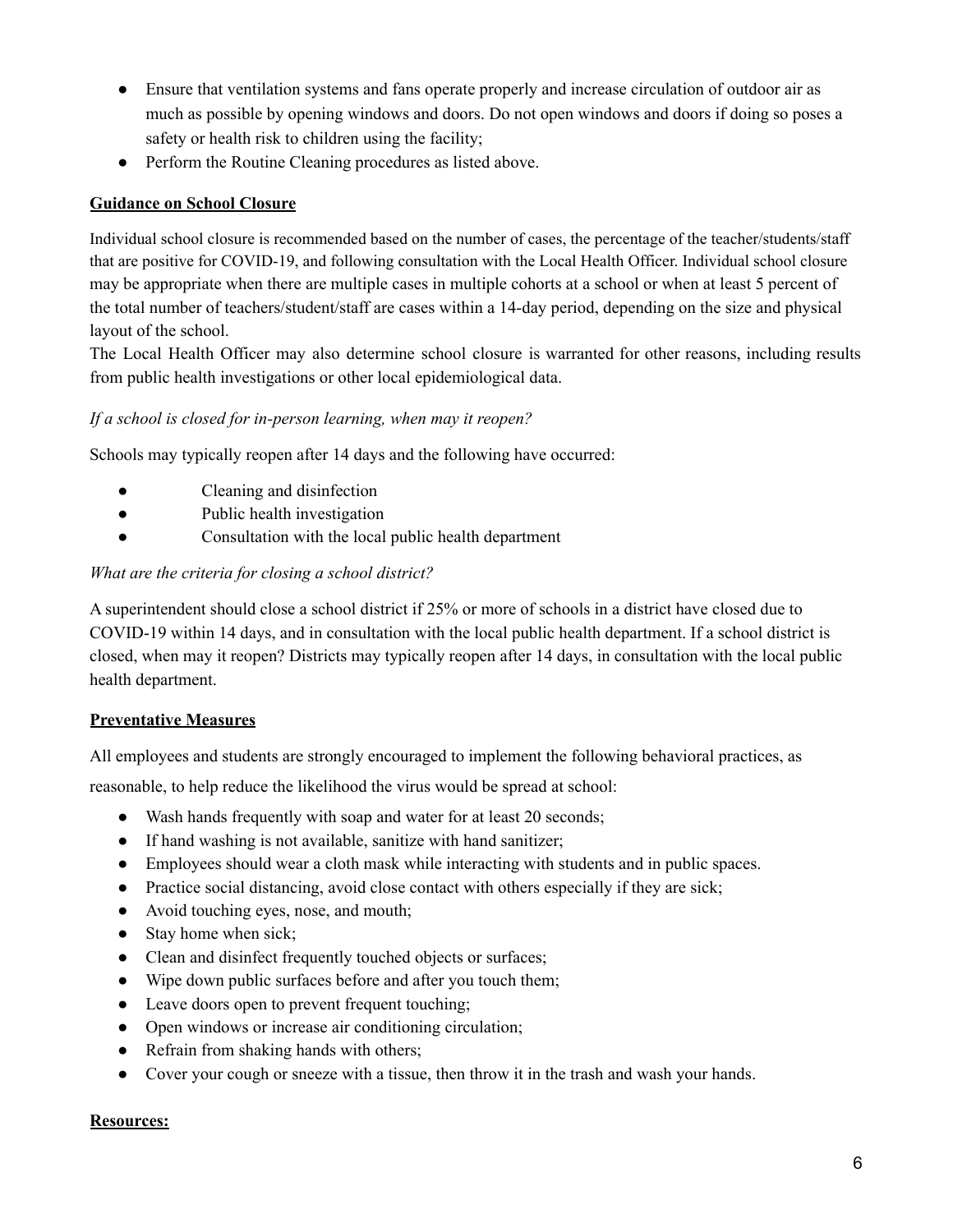- Ensure that ventilation systems and fans operate properly and increase circulation of outdoor air as much as possible by opening windows and doors. Do not open windows and doors if doing so poses a safety or health risk to children using the facility;
- Perform the Routine Cleaning procedures as listed above.

### **Guidance on School Closure**

Individual school closure is recommended based on the number of cases, the percentage of the teacher/students/staff that are positive for COVID-19, and following consultation with the Local Health Officer. Individual school closure may be appropriate when there are multiple cases in multiple cohorts at a school or when at least 5 percent of the total number of teachers/student/staff are cases within a 14-day period, depending on the size and physical layout of the school.

The Local Health Officer may also determine school closure is warranted for other reasons, including results from public health investigations or other local epidemiological data.

#### *If a school is closed for in-person learning, when may it reopen?*

Schools may typically reopen after 14 days and the following have occurred:

- Cleaning and disinfection
- Public health investigation
- Consultation with the local public health department

#### *What are the criteria for closing a school district?*

A superintendent should close a school district if 25% or more of schools in a district have closed due to COVID-19 within 14 days, and in consultation with the local public health department. If a school district is closed, when may it reopen? Districts may typically reopen after 14 days, in consultation with the local public health department.

#### **Preventative Measures**

All employees and students are strongly encouraged to implement the following behavioral practices, as

reasonable, to help reduce the likelihood the virus would be spread at school:

- Wash hands frequently with soap and water for at least 20 seconds;
- If hand washing is not available, sanitize with hand sanitizer;
- Employees should wear a cloth mask while interacting with students and in public spaces.
- Practice social distancing, avoid close contact with others especially if they are sick;
- Avoid touching eyes, nose, and mouth;
- Stay home when sick;
- Clean and disinfect frequently touched objects or surfaces;
- Wipe down public surfaces before and after you touch them;
- Leave doors open to prevent frequent touching;
- Open windows or increase air conditioning circulation;
- Refrain from shaking hands with others;
- Cover your cough or sneeze with a tissue, then throw it in the trash and wash your hands.

#### **Resources:**